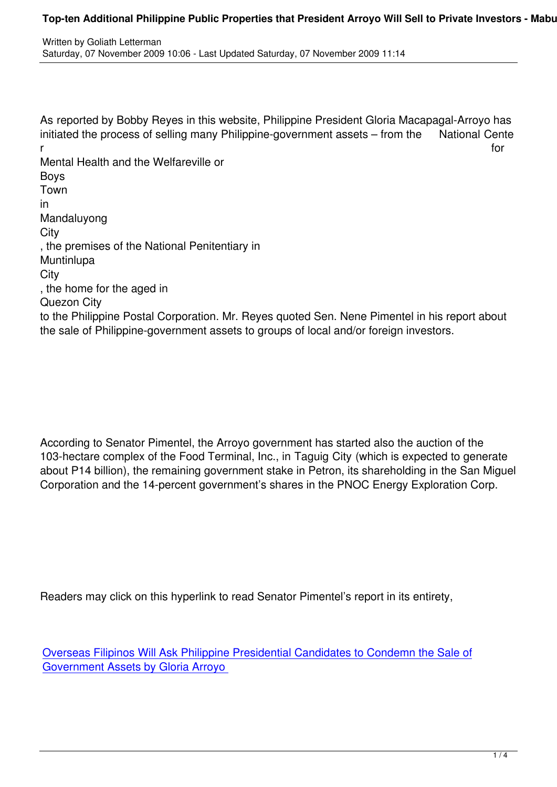Written by Goliath Lettermann by Goliath Lettermann by Goliath Lettermann by Goliath Lettermann by Goliath Let

As reported by Bobby Reyes in this website, Philippine President Gloria Macapagal-Arroyo has initiated the process of selling many Philippine-government assets – from the National Cente r for the contract of the contract of the contract of the contract of the contract of the contract of the contract of the contract of the contract of the contract of the contract of the contract of the contract of the cont Mental Health and the Welfareville or Boys Town in Mandaluyong **City** , the premises of the National Penitentiary in **Muntinlupa City** , the home for the aged in Quezon City to the Philippine Postal Corporation. Mr. Reyes quoted Sen. Nene Pimentel in his report about the sale of Philippine-government assets to groups of local and/or foreign investors.

According to Senator Pimentel, the Arroyo government has started also the auction of the 103-hectare complex of the Food Terminal, Inc., in Taguig City (which is expected to generate about P14 billion), the remaining government stake in Petron, its shareholding in the San Miguel Corporation and the 14-percent government's shares in the PNOC Energy Exploration Corp.

Readers may click on this hyperlink to read Senator Pimentel's report in its entirety,

Overseas Filipinos Will Ask Philippine Presidential Candidates to Condemn the Sale of Government Assets by Gloria Arroyo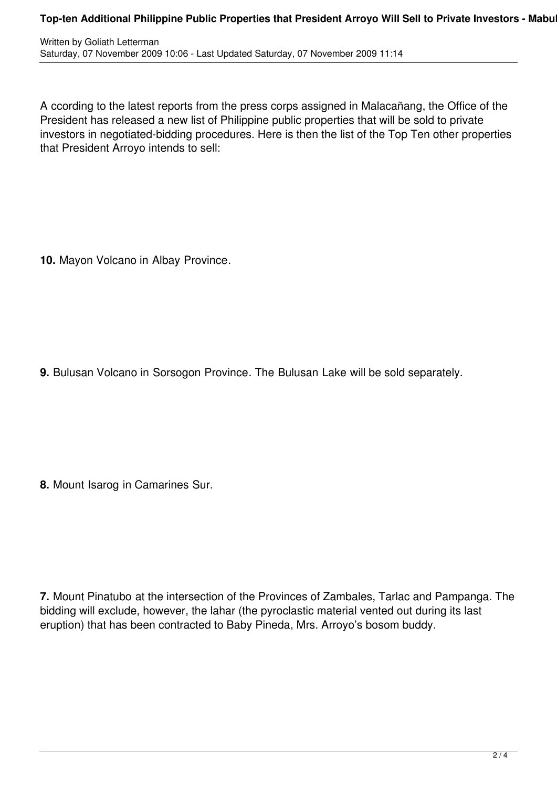A ccording to the latest reports from the press corps assigned in Malacañang, the Office of the President has released a new list of Philippine public properties that will be sold to private investors in negotiated-bidding procedures. Here is then the list of the Top Ten other properties that President Arroyo intends to sell:

**10.** Mayon Volcano in Albay Province.

**9.** Bulusan Volcano in Sorsogon Province. The Bulusan Lake will be sold separately.

**8.** Mount Isarog in Camarines Sur.

**7.** Mount Pinatubo at the intersection of the Provinces of Zambales, Tarlac and Pampanga. The bidding will exclude, however, the lahar (the pyroclastic material vented out during its last eruption) that has been contracted to Baby Pineda, Mrs. Arroyo's bosom buddy.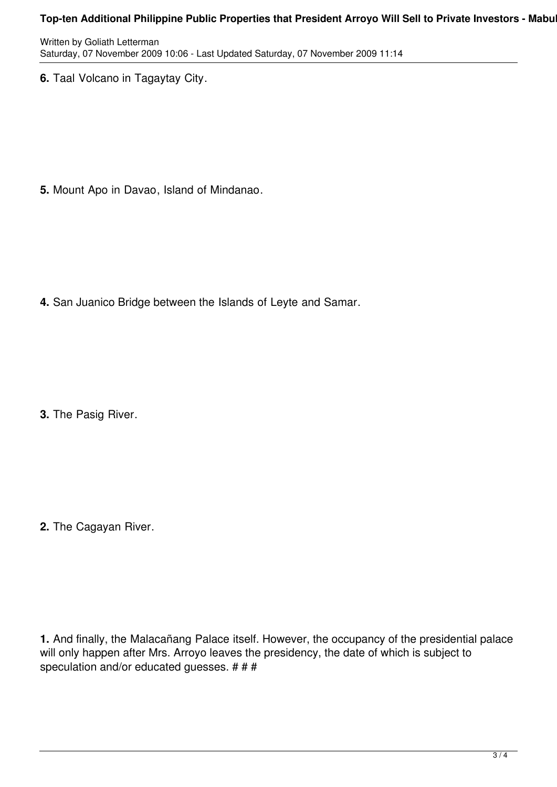## **Top-ten Additional Philippine Public Properties that President Arroyo Will Sell to Private Investors - Mabu**

Written by Goliath Letterman Saturday, 07 November 2009 10:06 - Last Updated Saturday, 07 November 2009 11:14

**6.** Taal Volcano in Tagaytay City.

**5.** Mount Apo in Davao, Island of Mindanao.

**4.** San Juanico Bridge between the Islands of Leyte and Samar.

**3.** The Pasig River.

**2.** The Cagayan River.

**1.** And finally, the Malacañang Palace itself. However, the occupancy of the presidential palace will only happen after Mrs. Arroyo leaves the presidency, the date of which is subject to speculation and/or educated guesses. # # #